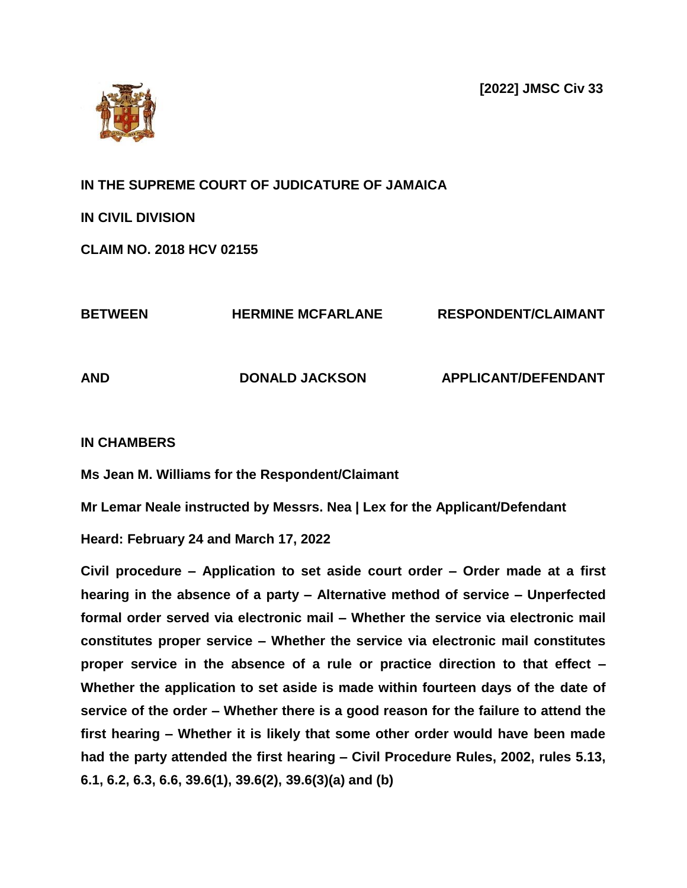**[2022] JMSC Civ 33**



**IN THE SUPREME COURT OF JUDICATURE OF JAMAICA**

**IN CIVIL DIVISION** 

**CLAIM NO. 2018 HCV 02155**

| <b>BETWEEN</b> | <b>HERMINE MCFARLANE</b> | <b>RESPONDENT/CLAIMANT</b> |
|----------------|--------------------------|----------------------------|
| <b>AND</b>     | <b>DONALD JACKSON</b>    | <b>APPLICANT/DEFENDANT</b> |

# **IN CHAMBERS**

**Ms Jean M. Williams for the Respondent/Claimant**

**Mr Lemar Neale instructed by Messrs. Nea | Lex for the Applicant/Defendant**

**Heard: February 24 and March 17, 2022**

**Civil procedure – Application to set aside court order – Order made at a first hearing in the absence of a party – Alternative method of service – Unperfected formal order served via electronic mail – Whether the service via electronic mail constitutes proper service – Whether the service via electronic mail constitutes proper service in the absence of a rule or practice direction to that effect – Whether the application to set aside is made within fourteen days of the date of service of the order – Whether there is a good reason for the failure to attend the first hearing – Whether it is likely that some other order would have been made had the party attended the first hearing – Civil Procedure Rules, 2002, rules 5.13, 6.1, 6.2, 6.3, 6.6, 39.6(1), 39.6(2), 39.6(3)(a) and (b)**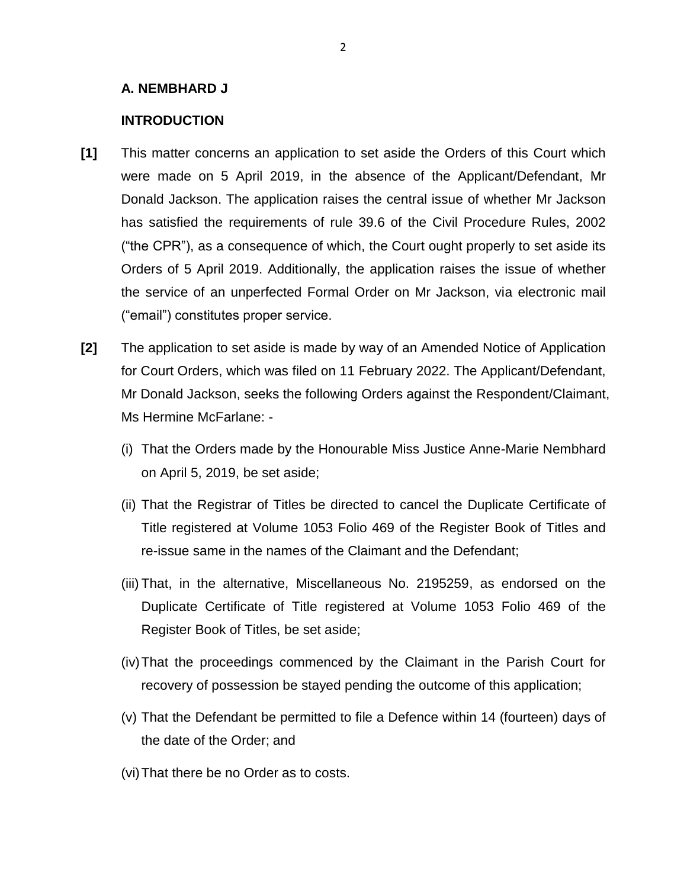## **A. NEMBHARD J**

## **INTRODUCTION**

- **[1]** This matter concerns an application to set aside the Orders of this Court which were made on 5 April 2019, in the absence of the Applicant/Defendant, Mr Donald Jackson. The application raises the central issue of whether Mr Jackson has satisfied the requirements of rule 39.6 of the Civil Procedure Rules, 2002 ("the CPR"), as a consequence of which, the Court ought properly to set aside its Orders of 5 April 2019. Additionally, the application raises the issue of whether the service of an unperfected Formal Order on Mr Jackson, via electronic mail ("email") constitutes proper service.
- **[2]** The application to set aside is made by way of an Amended Notice of Application for Court Orders, which was filed on 11 February 2022. The Applicant/Defendant, Mr Donald Jackson, seeks the following Orders against the Respondent/Claimant, Ms Hermine McFarlane: -
	- (i) That the Orders made by the Honourable Miss Justice Anne-Marie Nembhard on April 5, 2019, be set aside;
	- (ii) That the Registrar of Titles be directed to cancel the Duplicate Certificate of Title registered at Volume 1053 Folio 469 of the Register Book of Titles and re-issue same in the names of the Claimant and the Defendant;
	- (iii) That, in the alternative, Miscellaneous No. 2195259, as endorsed on the Duplicate Certificate of Title registered at Volume 1053 Folio 469 of the Register Book of Titles, be set aside;
	- (iv)That the proceedings commenced by the Claimant in the Parish Court for recovery of possession be stayed pending the outcome of this application;
	- (v) That the Defendant be permitted to file a Defence within 14 (fourteen) days of the date of the Order; and
	- (vi)That there be no Order as to costs.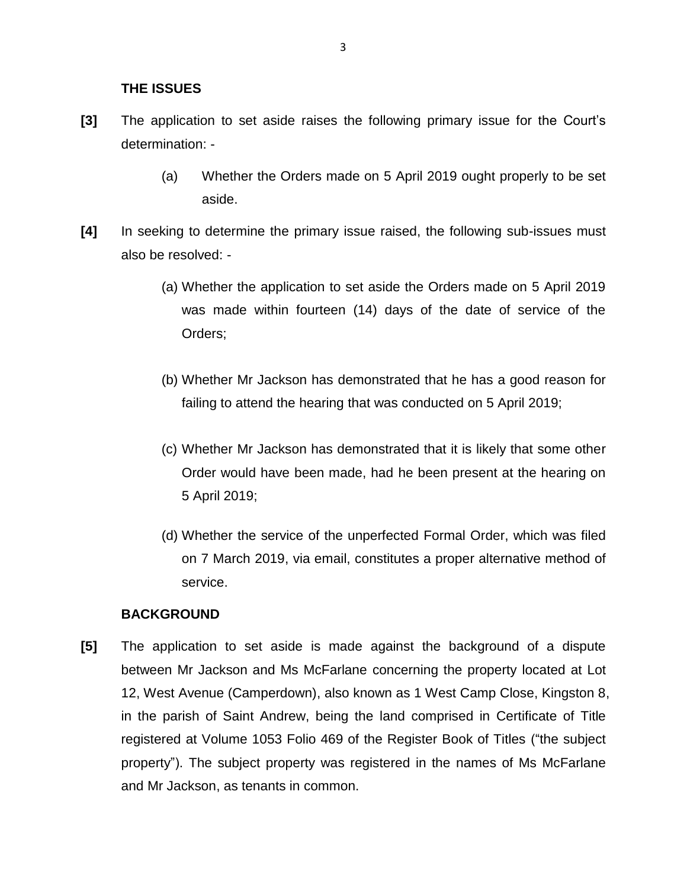## **THE ISSUES**

- **[3]** The application to set aside raises the following primary issue for the Court's determination: -
	- (a) Whether the Orders made on 5 April 2019 ought properly to be set aside.
- **[4]** In seeking to determine the primary issue raised, the following sub-issues must also be resolved: -
	- (a) Whether the application to set aside the Orders made on 5 April 2019 was made within fourteen (14) days of the date of service of the Orders;
	- (b) Whether Mr Jackson has demonstrated that he has a good reason for failing to attend the hearing that was conducted on 5 April 2019;
	- (c) Whether Mr Jackson has demonstrated that it is likely that some other Order would have been made, had he been present at the hearing on 5 April 2019;
	- (d) Whether the service of the unperfected Formal Order, which was filed on 7 March 2019, via email, constitutes a proper alternative method of service.

#### **BACKGROUND**

**[5]** The application to set aside is made against the background of a dispute between Mr Jackson and Ms McFarlane concerning the property located at Lot 12, West Avenue (Camperdown), also known as 1 West Camp Close, Kingston 8, in the parish of Saint Andrew, being the land comprised in Certificate of Title registered at Volume 1053 Folio 469 of the Register Book of Titles ("the subject property"). The subject property was registered in the names of Ms McFarlane and Mr Jackson, as tenants in common.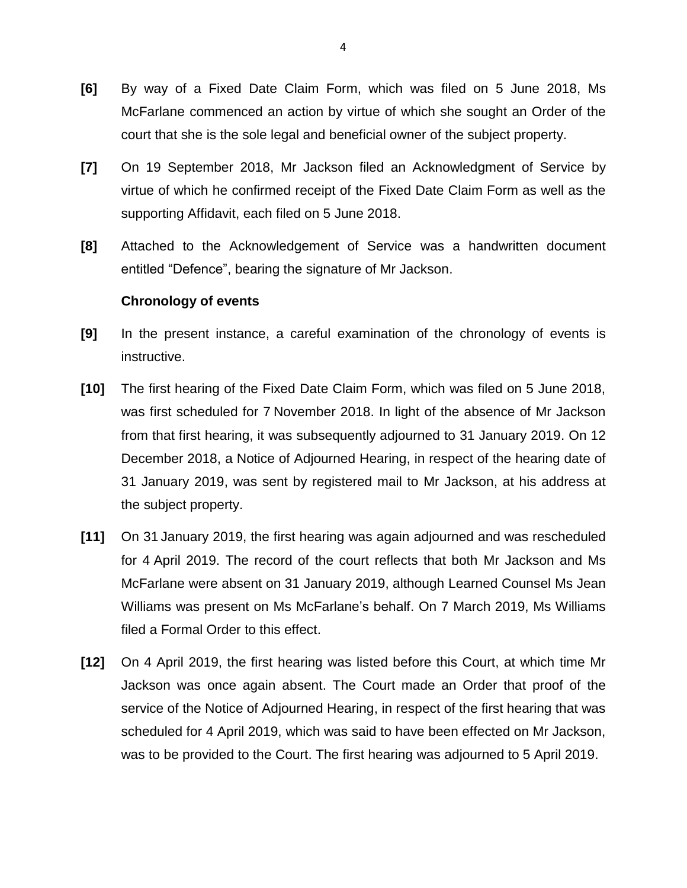- **[6]** By way of a Fixed Date Claim Form, which was filed on 5 June 2018, Ms McFarlane commenced an action by virtue of which she sought an Order of the court that she is the sole legal and beneficial owner of the subject property.
- **[7]** On 19 September 2018, Mr Jackson filed an Acknowledgment of Service by virtue of which he confirmed receipt of the Fixed Date Claim Form as well as the supporting Affidavit, each filed on 5 June 2018.
- **[8]** Attached to the Acknowledgement of Service was a handwritten document entitled "Defence", bearing the signature of Mr Jackson.

## **Chronology of events**

- **[9]** In the present instance, a careful examination of the chronology of events is instructive.
- **[10]** The first hearing of the Fixed Date Claim Form, which was filed on 5 June 2018, was first scheduled for 7 November 2018. In light of the absence of Mr Jackson from that first hearing, it was subsequently adjourned to 31 January 2019. On 12 December 2018, a Notice of Adjourned Hearing, in respect of the hearing date of 31 January 2019, was sent by registered mail to Mr Jackson, at his address at the subject property.
- **[11]** On 31 January 2019, the first hearing was again adjourned and was rescheduled for 4 April 2019. The record of the court reflects that both Mr Jackson and Ms McFarlane were absent on 31 January 2019, although Learned Counsel Ms Jean Williams was present on Ms McFarlane's behalf. On 7 March 2019, Ms Williams filed a Formal Order to this effect.
- **[12]** On 4 April 2019, the first hearing was listed before this Court, at which time Mr Jackson was once again absent. The Court made an Order that proof of the service of the Notice of Adjourned Hearing, in respect of the first hearing that was scheduled for 4 April 2019, which was said to have been effected on Mr Jackson, was to be provided to the Court. The first hearing was adjourned to 5 April 2019.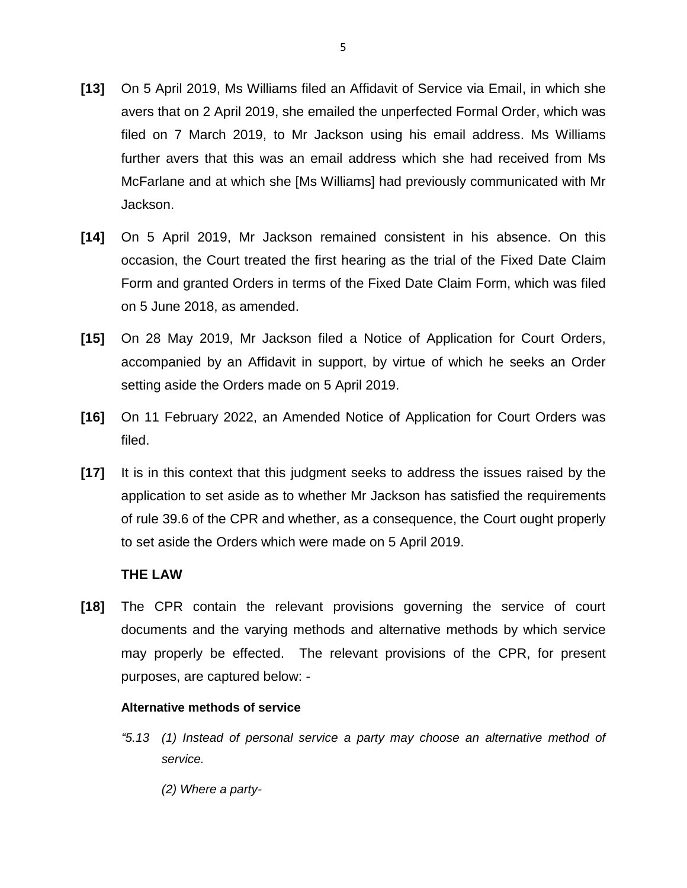- **[13]** On 5 April 2019, Ms Williams filed an Affidavit of Service via Email, in which she avers that on 2 April 2019, she emailed the unperfected Formal Order, which was filed on 7 March 2019, to Mr Jackson using his email address. Ms Williams further avers that this was an email address which she had received from Ms McFarlane and at which she [Ms Williams] had previously communicated with Mr Jackson.
- **[14]** On 5 April 2019, Mr Jackson remained consistent in his absence. On this occasion, the Court treated the first hearing as the trial of the Fixed Date Claim Form and granted Orders in terms of the Fixed Date Claim Form, which was filed on 5 June 2018, as amended.
- **[15]** On 28 May 2019, Mr Jackson filed a Notice of Application for Court Orders, accompanied by an Affidavit in support, by virtue of which he seeks an Order setting aside the Orders made on 5 April 2019.
- **[16]** On 11 February 2022, an Amended Notice of Application for Court Orders was filed.
- **[17]** It is in this context that this judgment seeks to address the issues raised by the application to set aside as to whether Mr Jackson has satisfied the requirements of rule 39.6 of the CPR and whether, as a consequence, the Court ought properly to set aside the Orders which were made on 5 April 2019.

## **THE LAW**

**[18]** The CPR contain the relevant provisions governing the service of court documents and the varying methods and alternative methods by which service may properly be effected. The relevant provisions of the CPR, for present purposes, are captured below: -

#### **Alternative methods of service**

- *"5.13 (1) Instead of personal service a party may choose an alternative method of service.* 
	- *(2) Where a party-*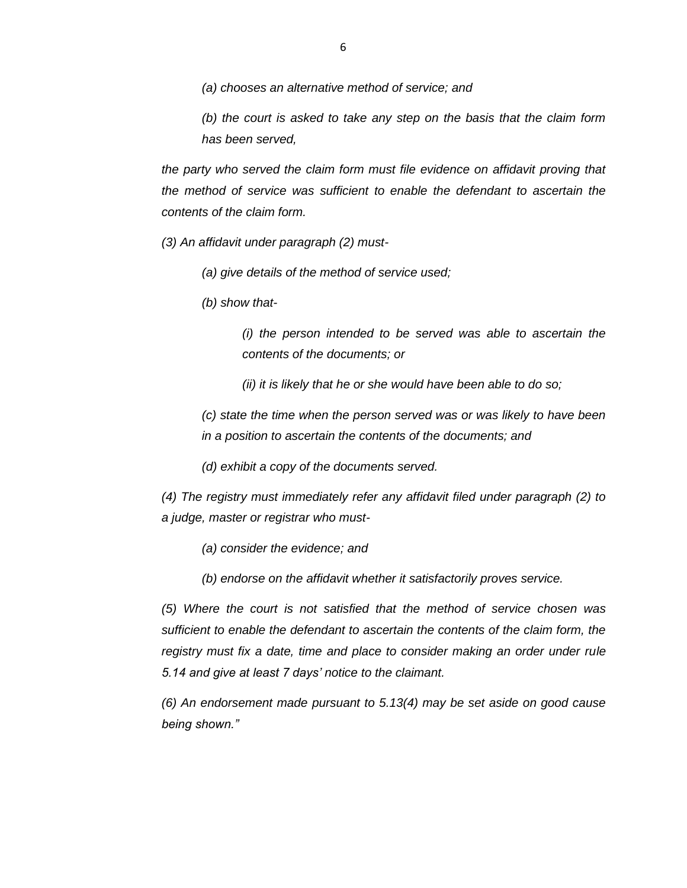*(a) chooses an alternative method of service; and* 

*(b) the court is asked to take any step on the basis that the claim form has been served,* 

*the party who served the claim form must file evidence on affidavit proving that the method of service was sufficient to enable the defendant to ascertain the contents of the claim form.* 

*(3) An affidavit under paragraph (2) must-*

*(a) give details of the method of service used;* 

*(b) show that-*

*(i) the person intended to be served was able to ascertain the contents of the documents; or* 

*(ii) it is likely that he or she would have been able to do so;*

*(c) state the time when the person served was or was likely to have been in a position to ascertain the contents of the documents; and*

*(d) exhibit a copy of the documents served.* 

*(4) The registry must immediately refer any affidavit filed under paragraph (2) to a judge, master or registrar who must-*

*(a) consider the evidence; and* 

*(b) endorse on the affidavit whether it satisfactorily proves service.* 

*(5) Where the court is not satisfied that the method of service chosen was sufficient to enable the defendant to ascertain the contents of the claim form, the registry must fix a date, time and place to consider making an order under rule 5.14 and give at least 7 days' notice to the claimant.* 

*(6) An endorsement made pursuant to 5.13(4) may be set aside on good cause being shown."*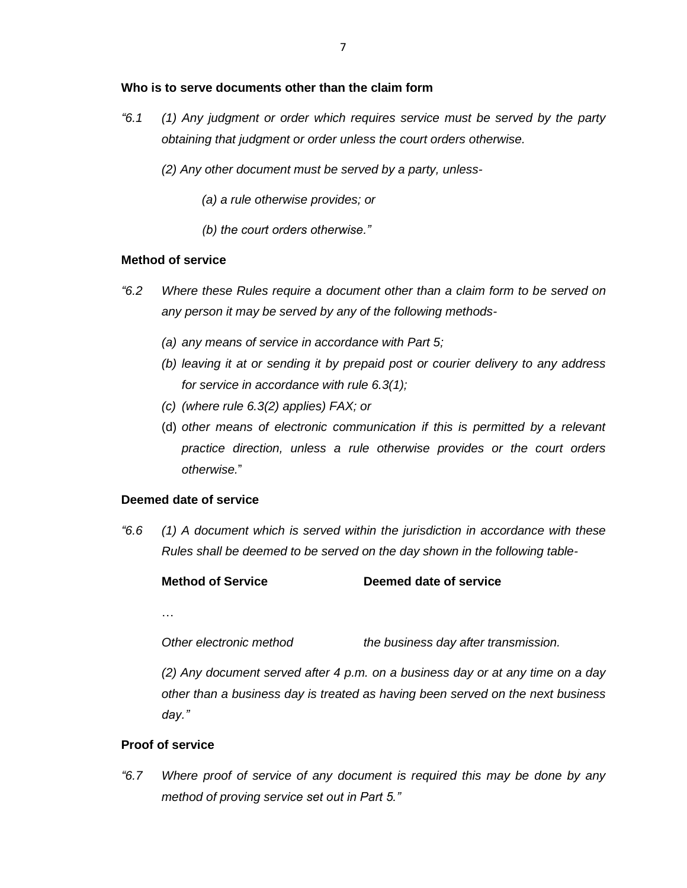### **Who is to serve documents other than the claim form**

*"6.1 (1) Any judgment or order which requires service must be served by the party obtaining that judgment or order unless the court orders otherwise.* 

*(2) Any other document must be served by a party, unless-*

- *(a) a rule otherwise provides; or*
- *(b) the court orders otherwise."*

## **Method of service**

- *"6.2 Where these Rules require a document other than a claim form to be served on any person it may be served by any of the following methods-*
	- *(a) any means of service in accordance with Part 5;*
	- *(b) leaving it at or sending it by prepaid post or courier delivery to any address for service in accordance with rule 6.3(1);*
	- *(c) (where rule 6.3(2) applies) FAX; or*
	- (d) *other means of electronic communication if this is permitted by a relevant practice direction, unless a rule otherwise provides or the court orders otherwise.*"

#### **Deemed date of service**

*"6.6 (1) A document which is served within the jurisdiction in accordance with these Rules shall be deemed to be served on the day shown in the following table-*

## **Method of Service Deemed date of service**

…

*Other electronic method the business day after transmission.*

*(2) Any document served after 4 p.m. on a business day or at any time on a day other than a business day is treated as having been served on the next business day."*

#### **Proof of service**

*"6.7 Where proof of service of any document is required this may be done by any method of proving service set out in Part 5."*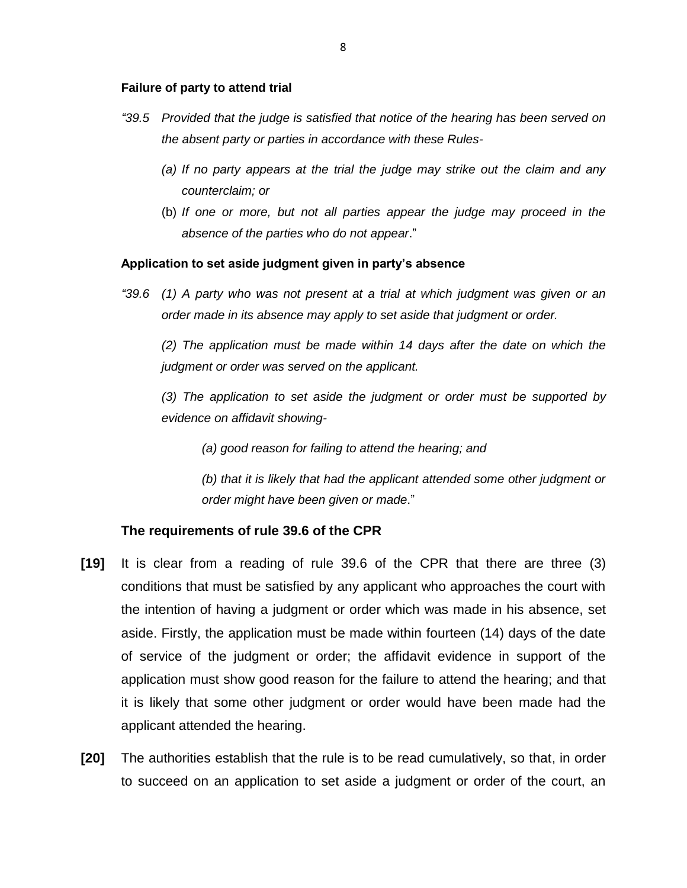#### **Failure of party to attend trial**

- *"39.5 Provided that the judge is satisfied that notice of the hearing has been served on the absent party or parties in accordance with these Rules-*
	- *(a) If no party appears at the trial the judge may strike out the claim and any counterclaim; or*
	- (b) *If one or more, but not all parties appear the judge may proceed in the absence of the parties who do not appear*."

#### **Application to set aside judgment given in party's absence**

*"39.6 (1) A party who was not present at a trial at which judgment was given or an order made in its absence may apply to set aside that judgment or order.* 

*(2) The application must be made within 14 days after the date on which the judgment or order was served on the applicant.* 

*(3) The application to set aside the judgment or order must be supported by evidence on affidavit showing-*

*(a) good reason for failing to attend the hearing; and* 

*(b) that it is likely that had the applicant attended some other judgment or order might have been given or made*."

#### **The requirements of rule 39.6 of the CPR**

- **[19]** It is clear from a reading of rule 39.6 of the CPR that there are three (3) conditions that must be satisfied by any applicant who approaches the court with the intention of having a judgment or order which was made in his absence, set aside. Firstly, the application must be made within fourteen (14) days of the date of service of the judgment or order; the affidavit evidence in support of the application must show good reason for the failure to attend the hearing; and that it is likely that some other judgment or order would have been made had the applicant attended the hearing.
- **[20]** The authorities establish that the rule is to be read cumulatively, so that, in order to succeed on an application to set aside a judgment or order of the court, an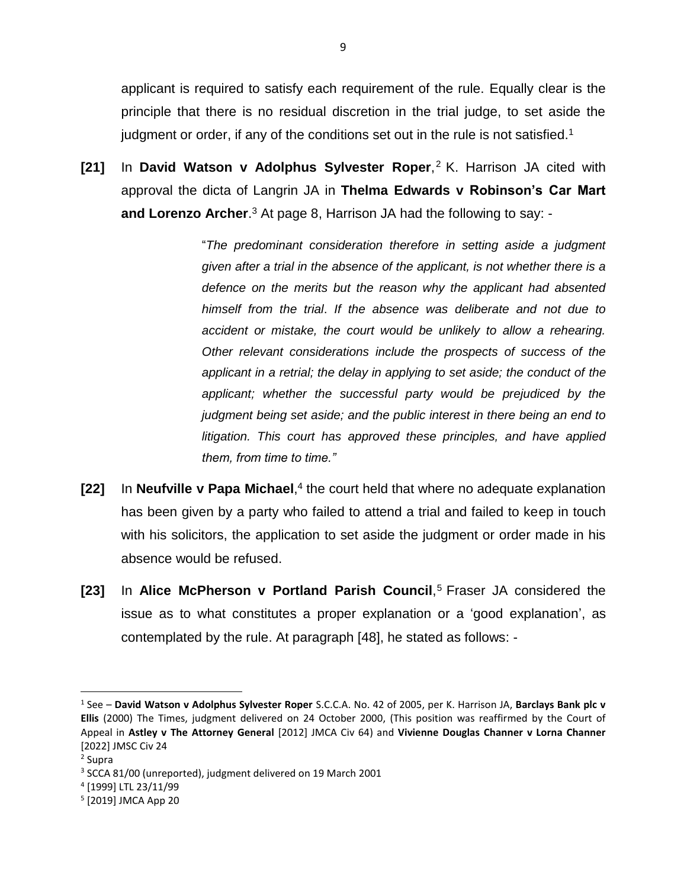applicant is required to satisfy each requirement of the rule. Equally clear is the principle that there is no residual discretion in the trial judge, to set aside the judgment or order, if any of the conditions set out in the rule is not satisfied.<sup>1</sup>

**[21]** In **David Watson v Adolphus Sylvester Roper**, <sup>2</sup> K. Harrison JA cited with approval the dicta of Langrin JA in **Thelma Edwards v Robinson's Car Mart and Lorenzo Archer**. <sup>3</sup> At page 8, Harrison JA had the following to say: -

> "*The predominant consideration therefore in setting aside a judgment given after a trial in the absence of the applicant, is not whether there is a defence on the merits but the reason why the applicant had absented himself from the trial*. *If the absence was deliberate and not due to accident or mistake, the court would be unlikely to allow a rehearing. Other relevant considerations include the prospects of success of the applicant in a retrial; the delay in applying to set aside; the conduct of the applicant; whether the successful party would be prejudiced by the judgment being set aside; and the public interest in there being an end to litigation. This court has approved these principles, and have applied them, from time to time."*

- [22] In Neufville v Papa Michael,<sup>4</sup> the court held that where no adequate explanation has been given by a party who failed to attend a trial and failed to keep in touch with his solicitors, the application to set aside the judgment or order made in his absence would be refused.
- **[23]** In **Alice McPherson v Portland Parish Council**, <sup>5</sup> Fraser JA considered the issue as to what constitutes a proper explanation or a 'good explanation', as contemplated by the rule. At paragraph [48], he stated as follows: -

<sup>1</sup> See – **David Watson v Adolphus Sylvester Roper** S.C.C.A. No. 42 of 2005, per K. Harrison JA, **Barclays Bank plc v Ellis** (2000) The Times, judgment delivered on 24 October 2000, (This position was reaffirmed by the Court of Appeal in **Astley v The Attorney General** [2012] JMCA Civ 64) and **Vivienne Douglas Channer v Lorna Channer** [2022] JMSC Civ 24

<sup>2</sup> Supra

<sup>&</sup>lt;sup>3</sup> SCCA 81/00 (unreported), judgment delivered on 19 March 2001

<sup>4</sup> [1999] LTL 23/11/99

<sup>5</sup> [2019] JMCA App 20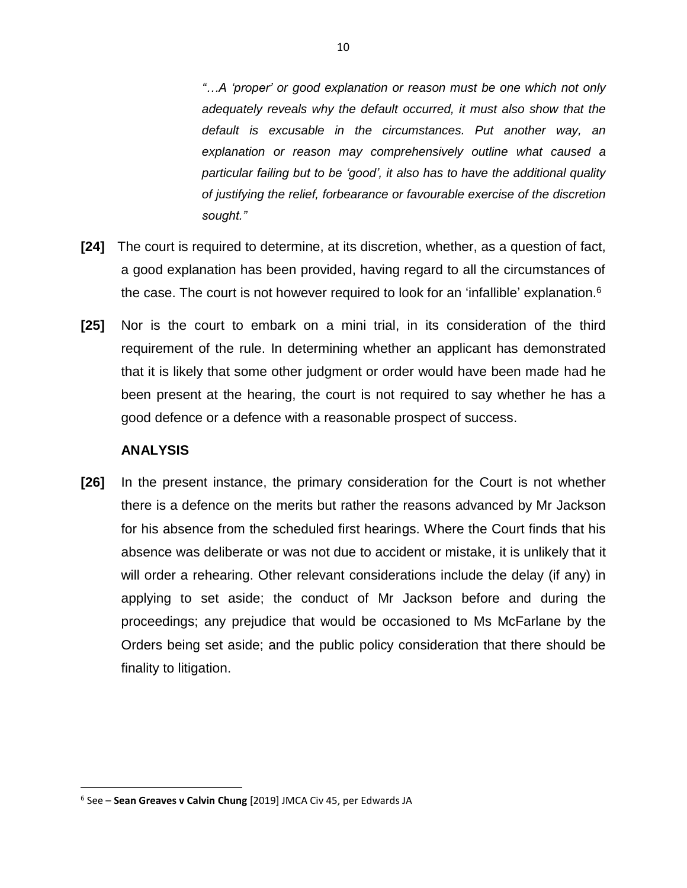*"…A 'proper' or good explanation or reason must be one which not only adequately reveals why the default occurred, it must also show that the default is excusable in the circumstances. Put another way, an explanation or reason may comprehensively outline what caused a particular failing but to be 'good', it also has to have the additional quality of justifying the relief, forbearance or favourable exercise of the discretion sought."* 

- **[24]** The court is required to determine, at its discretion, whether, as a question of fact, a good explanation has been provided, having regard to all the circumstances of the case. The court is not however required to look for an 'infallible' explanation.<sup>6</sup>
- **[25]** Nor is the court to embark on a mini trial, in its consideration of the third requirement of the rule. In determining whether an applicant has demonstrated that it is likely that some other judgment or order would have been made had he been present at the hearing, the court is not required to say whether he has a good defence or a defence with a reasonable prospect of success.

## **ANALYSIS**

 $\overline{\phantom{a}}$ 

**[26]** In the present instance, the primary consideration for the Court is not whether there is a defence on the merits but rather the reasons advanced by Mr Jackson for his absence from the scheduled first hearings. Where the Court finds that his absence was deliberate or was not due to accident or mistake, it is unlikely that it will order a rehearing. Other relevant considerations include the delay (if any) in applying to set aside; the conduct of Mr Jackson before and during the proceedings; any prejudice that would be occasioned to Ms McFarlane by the Orders being set aside; and the public policy consideration that there should be finality to litigation.

<sup>6</sup> See – **Sean Greaves v Calvin Chung** [2019] JMCA Civ 45, per Edwards JA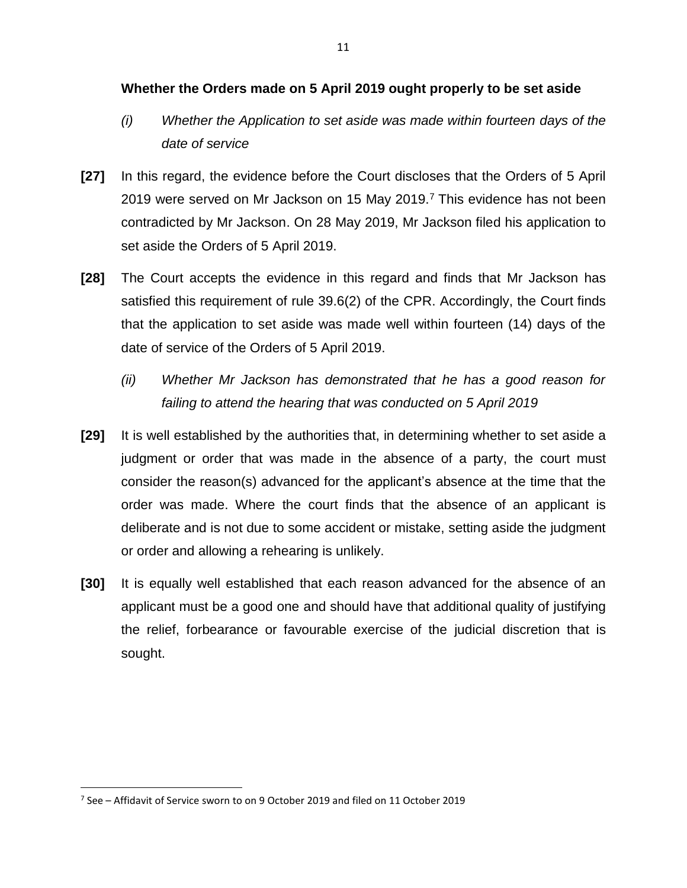## **Whether the Orders made on 5 April 2019 ought properly to be set aside**

- *(i) Whether the Application to set aside was made within fourteen days of the date of service*
- **[27]** In this regard, the evidence before the Court discloses that the Orders of 5 April 2019 were served on Mr Jackson on 15 May 2019.<sup>7</sup> This evidence has not been contradicted by Mr Jackson. On 28 May 2019, Mr Jackson filed his application to set aside the Orders of 5 April 2019.
- **[28]** The Court accepts the evidence in this regard and finds that Mr Jackson has satisfied this requirement of rule 39.6(2) of the CPR. Accordingly, the Court finds that the application to set aside was made well within fourteen (14) days of the date of service of the Orders of 5 April 2019.
	- *(ii) Whether Mr Jackson has demonstrated that he has a good reason for failing to attend the hearing that was conducted on 5 April 2019*
- **[29]** It is well established by the authorities that, in determining whether to set aside a judgment or order that was made in the absence of a party, the court must consider the reason(s) advanced for the applicant's absence at the time that the order was made. Where the court finds that the absence of an applicant is deliberate and is not due to some accident or mistake, setting aside the judgment or order and allowing a rehearing is unlikely.
- **[30]** It is equally well established that each reason advanced for the absence of an applicant must be a good one and should have that additional quality of justifying the relief, forbearance or favourable exercise of the judicial discretion that is sought.

<sup>7</sup> See – Affidavit of Service sworn to on 9 October 2019 and filed on 11 October 2019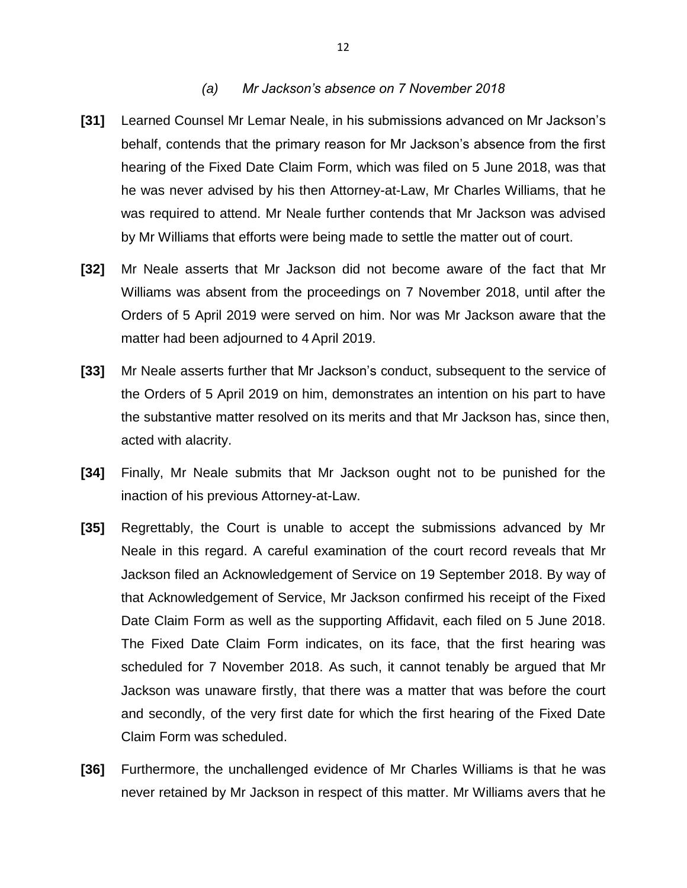#### *(a) Mr Jackson's absence on 7 November 2018*

- **[31]** Learned Counsel Mr Lemar Neale, in his submissions advanced on Mr Jackson's behalf, contends that the primary reason for Mr Jackson's absence from the first hearing of the Fixed Date Claim Form, which was filed on 5 June 2018, was that he was never advised by his then Attorney-at-Law, Mr Charles Williams, that he was required to attend. Mr Neale further contends that Mr Jackson was advised by Mr Williams that efforts were being made to settle the matter out of court.
- **[32]** Mr Neale asserts that Mr Jackson did not become aware of the fact that Mr Williams was absent from the proceedings on 7 November 2018, until after the Orders of 5 April 2019 were served on him. Nor was Mr Jackson aware that the matter had been adjourned to 4 April 2019.
- **[33]** Mr Neale asserts further that Mr Jackson's conduct, subsequent to the service of the Orders of 5 April 2019 on him, demonstrates an intention on his part to have the substantive matter resolved on its merits and that Mr Jackson has, since then, acted with alacrity.
- **[34]** Finally, Mr Neale submits that Mr Jackson ought not to be punished for the inaction of his previous Attorney-at-Law.
- **[35]** Regrettably, the Court is unable to accept the submissions advanced by Mr Neale in this regard. A careful examination of the court record reveals that Mr Jackson filed an Acknowledgement of Service on 19 September 2018. By way of that Acknowledgement of Service, Mr Jackson confirmed his receipt of the Fixed Date Claim Form as well as the supporting Affidavit, each filed on 5 June 2018. The Fixed Date Claim Form indicates, on its face, that the first hearing was scheduled for 7 November 2018. As such, it cannot tenably be argued that Mr Jackson was unaware firstly, that there was a matter that was before the court and secondly, of the very first date for which the first hearing of the Fixed Date Claim Form was scheduled.
- **[36]** Furthermore, the unchallenged evidence of Mr Charles Williams is that he was never retained by Mr Jackson in respect of this matter. Mr Williams avers that he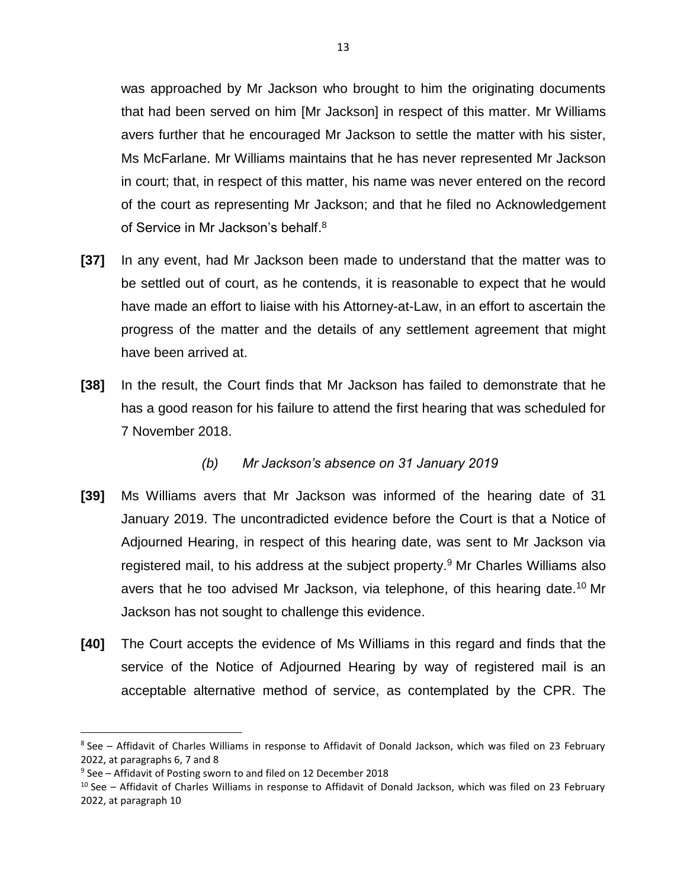was approached by Mr Jackson who brought to him the originating documents that had been served on him [Mr Jackson] in respect of this matter. Mr Williams avers further that he encouraged Mr Jackson to settle the matter with his sister, Ms McFarlane. Mr Williams maintains that he has never represented Mr Jackson in court; that, in respect of this matter, his name was never entered on the record of the court as representing Mr Jackson; and that he filed no Acknowledgement of Service in Mr Jackson's behalf.<sup>8</sup>

- **[37]** In any event, had Mr Jackson been made to understand that the matter was to be settled out of court, as he contends, it is reasonable to expect that he would have made an effort to liaise with his Attorney-at-Law, in an effort to ascertain the progress of the matter and the details of any settlement agreement that might have been arrived at.
- **[38]** In the result, the Court finds that Mr Jackson has failed to demonstrate that he has a good reason for his failure to attend the first hearing that was scheduled for 7 November 2018.

# *(b) Mr Jackson's absence on 31 January 2019*

- **[39]** Ms Williams avers that Mr Jackson was informed of the hearing date of 31 January 2019. The uncontradicted evidence before the Court is that a Notice of Adjourned Hearing, in respect of this hearing date, was sent to Mr Jackson via registered mail, to his address at the subject property.<sup>9</sup> Mr Charles Williams also avers that he too advised Mr Jackson, via telephone, of this hearing date.<sup>10</sup> Mr Jackson has not sought to challenge this evidence.
- **[40]** The Court accepts the evidence of Ms Williams in this regard and finds that the service of the Notice of Adjourned Hearing by way of registered mail is an acceptable alternative method of service, as contemplated by the CPR. The

<sup>&</sup>lt;sup>8</sup> See – Affidavit of Charles Williams in response to Affidavit of Donald Jackson, which was filed on 23 February 2022, at paragraphs 6, 7 and 8

<sup>9</sup> See – Affidavit of Posting sworn to and filed on 12 December 2018

<sup>&</sup>lt;sup>10</sup> See – Affidavit of Charles Williams in response to Affidavit of Donald Jackson, which was filed on 23 February 2022, at paragraph 10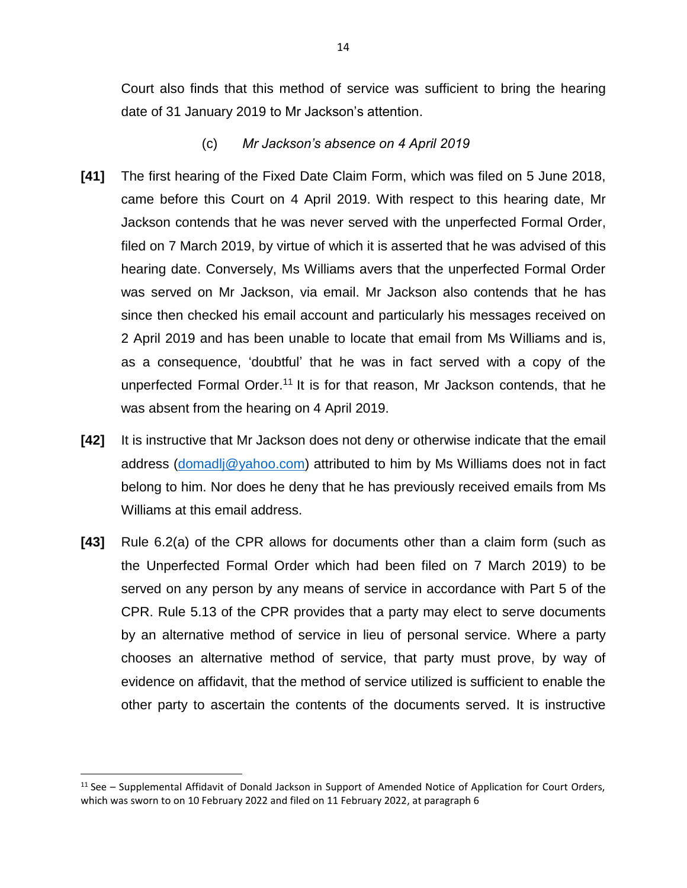Court also finds that this method of service was sufficient to bring the hearing date of 31 January 2019 to Mr Jackson's attention.

- (c) *Mr Jackson's absence on 4 April 2019*
- **[41]** The first hearing of the Fixed Date Claim Form, which was filed on 5 June 2018, came before this Court on 4 April 2019. With respect to this hearing date, Mr Jackson contends that he was never served with the unperfected Formal Order, filed on 7 March 2019, by virtue of which it is asserted that he was advised of this hearing date. Conversely, Ms Williams avers that the unperfected Formal Order was served on Mr Jackson, via email. Mr Jackson also contends that he has since then checked his email account and particularly his messages received on 2 April 2019 and has been unable to locate that email from Ms Williams and is, as a consequence, 'doubtful' that he was in fact served with a copy of the unperfected Formal Order.<sup>11</sup> It is for that reason, Mr Jackson contends, that he was absent from the hearing on 4 April 2019.
- **[42]** It is instructive that Mr Jackson does not deny or otherwise indicate that the email address [\(domadlj@yahoo.com\)](mailto:domadlj@yahoo.com) attributed to him by Ms Williams does not in fact belong to him. Nor does he deny that he has previously received emails from Ms Williams at this email address.
- **[43]** Rule 6.2(a) of the CPR allows for documents other than a claim form (such as the Unperfected Formal Order which had been filed on 7 March 2019) to be served on any person by any means of service in accordance with Part 5 of the CPR. Rule 5.13 of the CPR provides that a party may elect to serve documents by an alternative method of service in lieu of personal service. Where a party chooses an alternative method of service, that party must prove, by way of evidence on affidavit, that the method of service utilized is sufficient to enable the other party to ascertain the contents of the documents served. It is instructive

l

 $11$  See – Supplemental Affidavit of Donald Jackson in Support of Amended Notice of Application for Court Orders, which was sworn to on 10 February 2022 and filed on 11 February 2022, at paragraph 6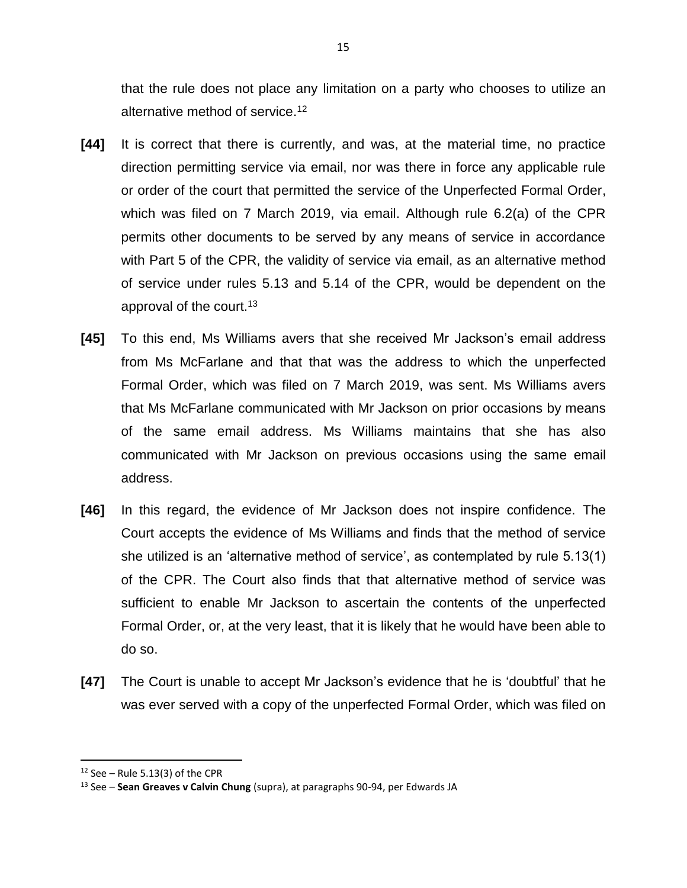that the rule does not place any limitation on a party who chooses to utilize an alternative method of service. 12

- **[44]** It is correct that there is currently, and was, at the material time, no practice direction permitting service via email, nor was there in force any applicable rule or order of the court that permitted the service of the Unperfected Formal Order, which was filed on 7 March 2019, via email. Although rule 6.2(a) of the CPR permits other documents to be served by any means of service in accordance with Part 5 of the CPR, the validity of service via email, as an alternative method of service under rules 5.13 and 5.14 of the CPR, would be dependent on the approval of the court.<sup>13</sup>
- **[45]** To this end, Ms Williams avers that she received Mr Jackson's email address from Ms McFarlane and that that was the address to which the unperfected Formal Order, which was filed on 7 March 2019, was sent. Ms Williams avers that Ms McFarlane communicated with Mr Jackson on prior occasions by means of the same email address. Ms Williams maintains that she has also communicated with Mr Jackson on previous occasions using the same email address.
- **[46]** In this regard, the evidence of Mr Jackson does not inspire confidence. The Court accepts the evidence of Ms Williams and finds that the method of service she utilized is an 'alternative method of service', as contemplated by rule 5.13(1) of the CPR. The Court also finds that that alternative method of service was sufficient to enable Mr Jackson to ascertain the contents of the unperfected Formal Order, or, at the very least, that it is likely that he would have been able to do so.
- **[47]** The Court is unable to accept Mr Jackson's evidence that he is 'doubtful' that he was ever served with a copy of the unperfected Formal Order, which was filed on

 $12$  See – Rule 5.13(3) of the CPR

<sup>13</sup> See – **Sean Greaves v Calvin Chung** (supra), at paragraphs 90-94, per Edwards JA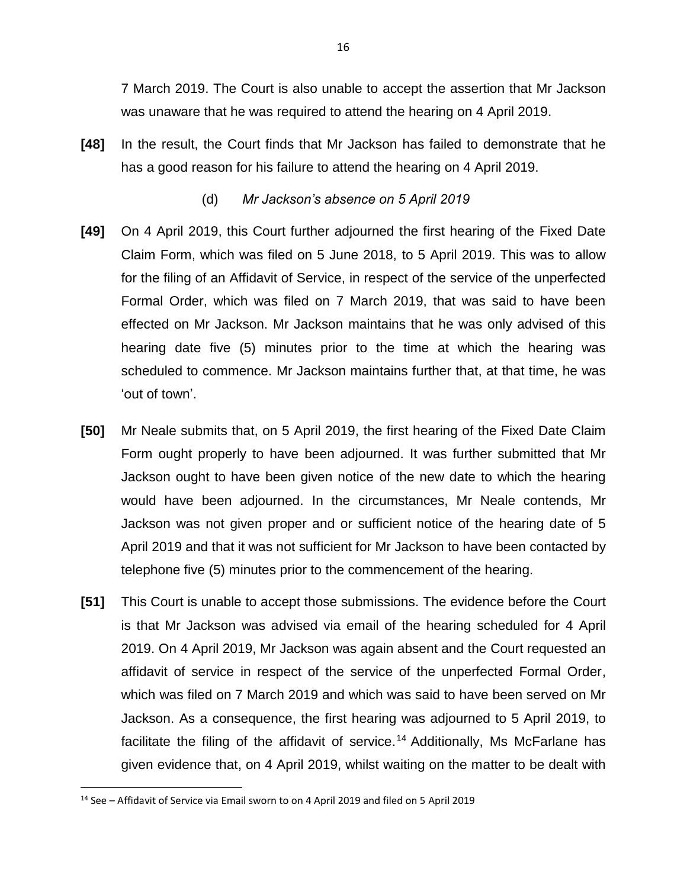7 March 2019. The Court is also unable to accept the assertion that Mr Jackson was unaware that he was required to attend the hearing on 4 April 2019.

**[48]** In the result, the Court finds that Mr Jackson has failed to demonstrate that he has a good reason for his failure to attend the hearing on 4 April 2019.

## (d) *Mr Jackson's absence on 5 April 2019*

- **[49]** On 4 April 2019, this Court further adjourned the first hearing of the Fixed Date Claim Form, which was filed on 5 June 2018, to 5 April 2019. This was to allow for the filing of an Affidavit of Service, in respect of the service of the unperfected Formal Order, which was filed on 7 March 2019, that was said to have been effected on Mr Jackson. Mr Jackson maintains that he was only advised of this hearing date five (5) minutes prior to the time at which the hearing was scheduled to commence. Mr Jackson maintains further that, at that time, he was 'out of town'.
- **[50]** Mr Neale submits that, on 5 April 2019, the first hearing of the Fixed Date Claim Form ought properly to have been adjourned. It was further submitted that Mr Jackson ought to have been given notice of the new date to which the hearing would have been adjourned. In the circumstances, Mr Neale contends, Mr Jackson was not given proper and or sufficient notice of the hearing date of 5 April 2019 and that it was not sufficient for Mr Jackson to have been contacted by telephone five (5) minutes prior to the commencement of the hearing.
- **[51]** This Court is unable to accept those submissions. The evidence before the Court is that Mr Jackson was advised via email of the hearing scheduled for 4 April 2019. On 4 April 2019, Mr Jackson was again absent and the Court requested an affidavit of service in respect of the service of the unperfected Formal Order, which was filed on 7 March 2019 and which was said to have been served on Mr Jackson. As a consequence, the first hearing was adjourned to 5 April 2019, to facilitate the filing of the affidavit of service.<sup>14</sup> Additionally, Ms McFarlane has given evidence that, on 4 April 2019, whilst waiting on the matter to be dealt with

<sup>14</sup> See – Affidavit of Service via Email sworn to on 4 April 2019 and filed on 5 April 2019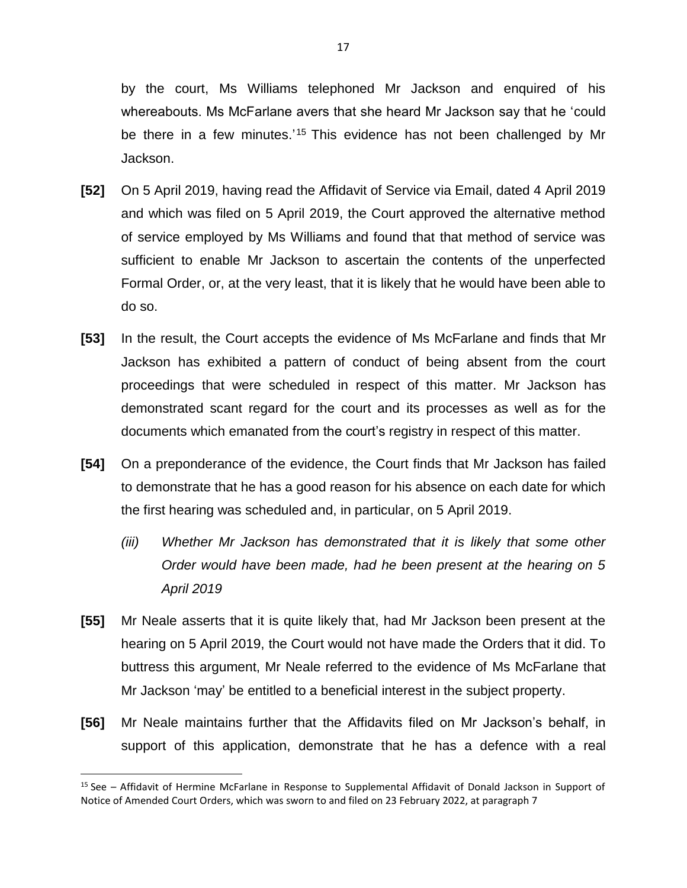by the court, Ms Williams telephoned Mr Jackson and enquired of his whereabouts. Ms McFarlane avers that she heard Mr Jackson say that he 'could be there in a few minutes.'<sup>15</sup> This evidence has not been challenged by Mr Jackson.

- **[52]** On 5 April 2019, having read the Affidavit of Service via Email, dated 4 April 2019 and which was filed on 5 April 2019, the Court approved the alternative method of service employed by Ms Williams and found that that method of service was sufficient to enable Mr Jackson to ascertain the contents of the unperfected Formal Order, or, at the very least, that it is likely that he would have been able to do so.
- **[53]** In the result, the Court accepts the evidence of Ms McFarlane and finds that Mr Jackson has exhibited a pattern of conduct of being absent from the court proceedings that were scheduled in respect of this matter. Mr Jackson has demonstrated scant regard for the court and its processes as well as for the documents which emanated from the court's registry in respect of this matter.
- **[54]** On a preponderance of the evidence, the Court finds that Mr Jackson has failed to demonstrate that he has a good reason for his absence on each date for which the first hearing was scheduled and, in particular, on 5 April 2019.
	- *(iii) Whether Mr Jackson has demonstrated that it is likely that some other Order would have been made, had he been present at the hearing on 5 April 2019*
- **[55]** Mr Neale asserts that it is quite likely that, had Mr Jackson been present at the hearing on 5 April 2019, the Court would not have made the Orders that it did. To buttress this argument, Mr Neale referred to the evidence of Ms McFarlane that Mr Jackson 'may' be entitled to a beneficial interest in the subject property.
- **[56]** Mr Neale maintains further that the Affidavits filed on Mr Jackson's behalf, in support of this application, demonstrate that he has a defence with a real

l

<sup>15</sup> See – Affidavit of Hermine McFarlane in Response to Supplemental Affidavit of Donald Jackson in Support of Notice of Amended Court Orders, which was sworn to and filed on 23 February 2022, at paragraph 7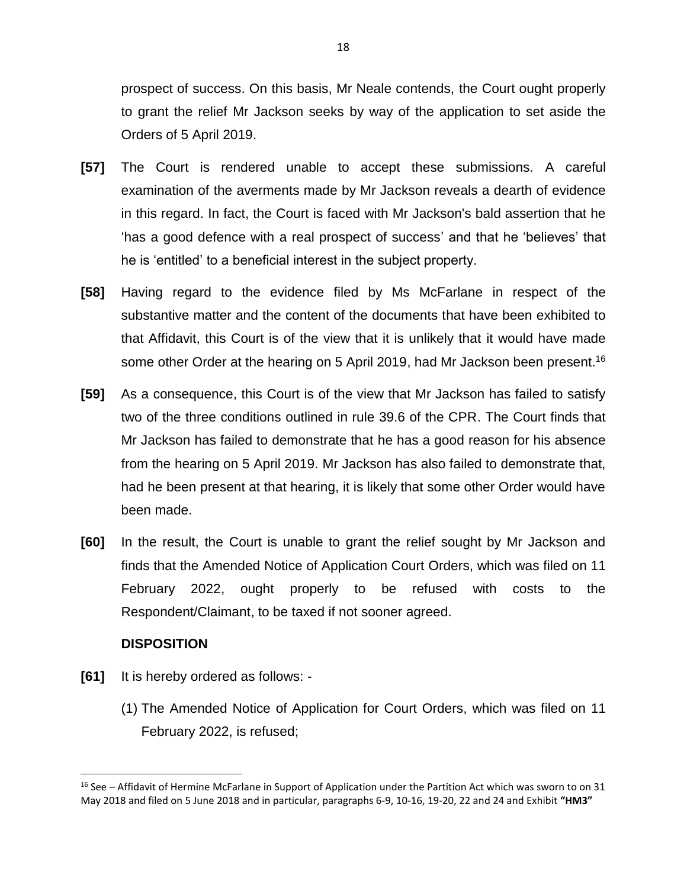prospect of success. On this basis, Mr Neale contends, the Court ought properly to grant the relief Mr Jackson seeks by way of the application to set aside the Orders of 5 April 2019.

- **[57]** The Court is rendered unable to accept these submissions. A careful examination of the averments made by Mr Jackson reveals a dearth of evidence in this regard. In fact, the Court is faced with Mr Jackson's bald assertion that he 'has a good defence with a real prospect of success' and that he 'believes' that he is 'entitled' to a beneficial interest in the subject property.
- **[58]** Having regard to the evidence filed by Ms McFarlane in respect of the substantive matter and the content of the documents that have been exhibited to that Affidavit, this Court is of the view that it is unlikely that it would have made some other Order at the hearing on 5 April 2019, had Mr Jackson been present.<sup>16</sup>
- **[59]** As a consequence, this Court is of the view that Mr Jackson has failed to satisfy two of the three conditions outlined in rule 39.6 of the CPR. The Court finds that Mr Jackson has failed to demonstrate that he has a good reason for his absence from the hearing on 5 April 2019. Mr Jackson has also failed to demonstrate that, had he been present at that hearing, it is likely that some other Order would have been made.
- **[60]** In the result, the Court is unable to grant the relief sought by Mr Jackson and finds that the Amended Notice of Application Court Orders, which was filed on 11 February 2022, ought properly to be refused with costs to the Respondent/Claimant, to be taxed if not sooner agreed.

# **DISPOSITION**

l

- **[61]** It is hereby ordered as follows:
	- (1) The Amended Notice of Application for Court Orders, which was filed on 11 February 2022, is refused;

<sup>&</sup>lt;sup>16</sup> See – Affidavit of Hermine McFarlane in Support of Application under the Partition Act which was sworn to on 31 May 2018 and filed on 5 June 2018 and in particular, paragraphs 6-9, 10-16, 19-20, 22 and 24 and Exhibit **"HM3"**